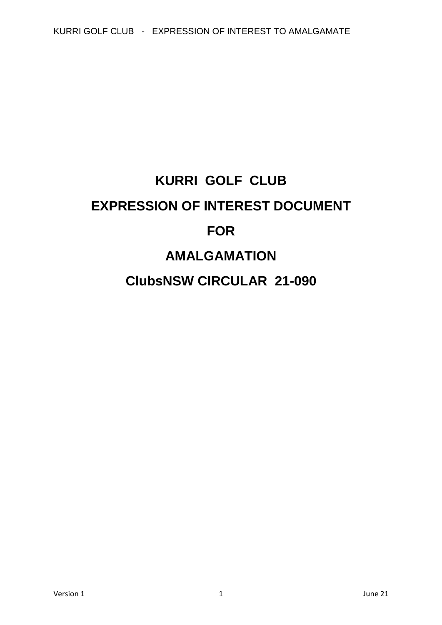KURRI GOLF CLUB - EXPRESSION OF INTEREST TO AMALGAMATE

# **KURRI GOLF CLUB EXPRESSION OF INTEREST DOCUMENT FOR AMALGAMATION ClubsNSW CIRCULAR 21-090**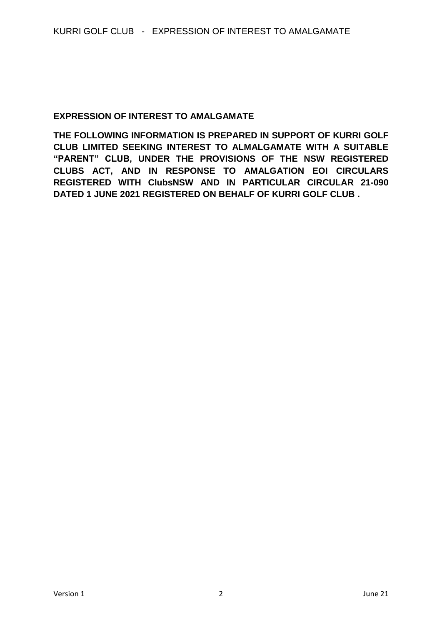#### **EXPRESSION OF INTEREST TO AMALGAMATE**

**THE FOLLOWING INFORMATION IS PREPARED IN SUPPORT OF KURRI GOLF CLUB LIMITED SEEKING INTEREST TO ALMALGAMATE WITH A SUITABLE "PARENT" CLUB, UNDER THE PROVISIONS OF THE NSW REGISTERED CLUBS ACT, AND IN RESPONSE TO AMALGATION EOI CIRCULARS REGISTERED WITH ClubsNSW AND IN PARTICULAR CIRCULAR 21-090 DATED 1 JUNE 2021 REGISTERED ON BEHALF OF KURRI GOLF CLUB .**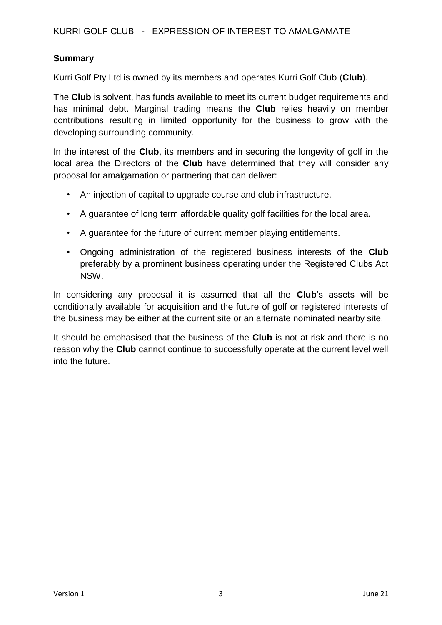#### **Summary**

Kurri Golf Pty Ltd is owned by its members and operates Kurri Golf Club (**Club**).

The **Club** is solvent, has funds available to meet its current budget requirements and has minimal debt. Marginal trading means the **Club** relies heavily on member contributions resulting in limited opportunity for the business to grow with the developing surrounding community.

In the interest of the **Club**, its members and in securing the longevity of golf in the local area the Directors of the **Club** have determined that they will consider any proposal for amalgamation or partnering that can deliver:

- An injection of capital to upgrade course and club infrastructure.
- A guarantee of long term affordable quality golf facilities for the local area.
- A guarantee for the future of current member playing entitlements.
- Ongoing administration of the registered business interests of the **Club** preferably by a prominent business operating under the Registered Clubs Act NSW.

In considering any proposal it is assumed that all the **Club**'s assets will be conditionally available for acquisition and the future of golf or registered interests of the business may be either at the current site or an alternate nominated nearby site.

It should be emphasised that the business of the **Club** is not at risk and there is no reason why the **Club** cannot continue to successfully operate at the current level well into the future.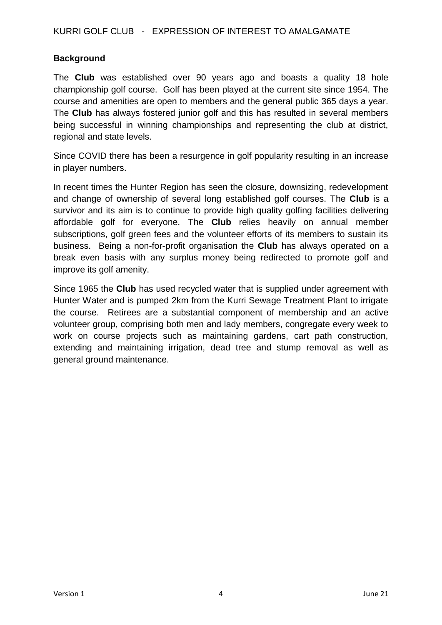#### **Background**

The **Club** was established over 90 years ago and boasts a quality 18 hole championship golf course. Golf has been played at the current site since 1954. The course and amenities are open to members and the general public 365 days a year. The **Club** has always fostered junior golf and this has resulted in several members being successful in winning championships and representing the club at district, regional and state levels.

Since COVID there has been a resurgence in golf popularity resulting in an increase in player numbers.

In recent times the Hunter Region has seen the closure, downsizing, redevelopment and change of ownership of several long established golf courses. The **Club** is a survivor and its aim is to continue to provide high quality golfing facilities delivering affordable golf for everyone. The **Club** relies heavily on annual member subscriptions, golf green fees and the volunteer efforts of its members to sustain its business. Being a non-for-profit organisation the **Club** has always operated on a break even basis with any surplus money being redirected to promote golf and improve its golf amenity.

Since 1965 the **Club** has used recycled water that is supplied under agreement with Hunter Water and is pumped 2km from the Kurri Sewage Treatment Plant to irrigate the course. Retirees are a substantial component of membership and an active volunteer group, comprising both men and lady members, congregate every week to work on course projects such as maintaining gardens, cart path construction, extending and maintaining irrigation, dead tree and stump removal as well as general ground maintenance.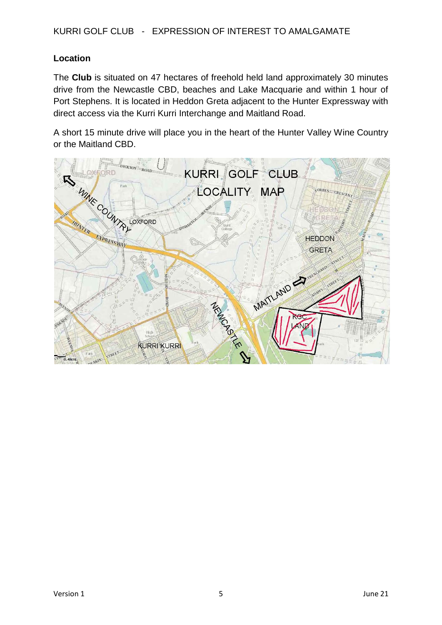## **Location**

The **Club** is situated on 47 hectares of freehold held land approximately 30 minutes drive from the Newcastle CBD, beaches and Lake Macquarie and within 1 hour of Port Stephens. It is located in Heddon Greta adjacent to the Hunter Expressway with direct access via the Kurri Kurri Interchange and Maitland Road.

A short 15 minute drive will place you in the heart of the Hunter Valley Wine Country or the Maitland CBD.

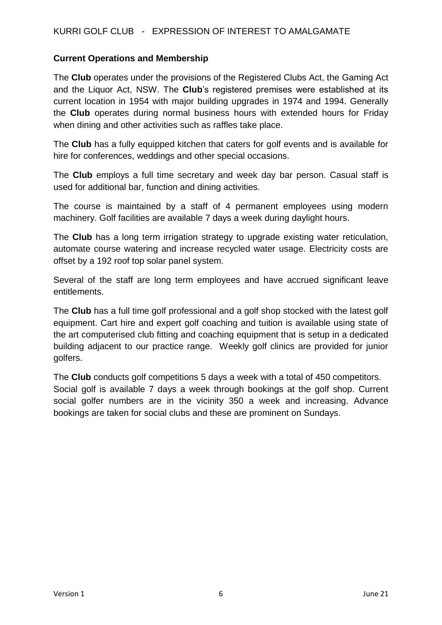#### **Current Operations and Membership**

The **Club** operates under the provisions of the Registered Clubs Act, the Gaming Act and the Liquor Act, NSW. The **Club**'s registered premises were established at its current location in 1954 with major building upgrades in 1974 and 1994. Generally the **Club** operates during normal business hours with extended hours for Friday when dining and other activities such as raffles take place.

The **Club** has a fully equipped kitchen that caters for golf events and is available for hire for conferences, weddings and other special occasions.

The **Club** employs a full time secretary and week day bar person. Casual staff is used for additional bar, function and dining activities.

The course is maintained by a staff of 4 permanent employees using modern machinery. Golf facilities are available 7 days a week during daylight hours.

The **Club** has a long term irrigation strategy to upgrade existing water reticulation, automate course watering and increase recycled water usage. Electricity costs are offset by a 192 roof top solar panel system.

Several of the staff are long term employees and have accrued significant leave entitlements.

The **Club** has a full time golf professional and a golf shop stocked with the latest golf equipment. Cart hire and expert golf coaching and tuition is available using state of the art computerised club fitting and coaching equipment that is setup in a dedicated building adjacent to our practice range. Weekly golf clinics are provided for junior golfers.

The **Club** conducts golf competitions 5 days a week with a total of 450 competitors. Social golf is available 7 days a week through bookings at the golf shop. Current social golfer numbers are in the vicinity 350 a week and increasing. Advance bookings are taken for social clubs and these are prominent on Sundays.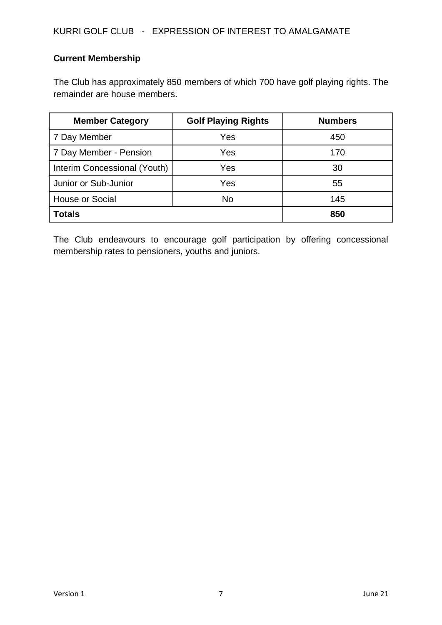KURRI GOLF CLUB - EXPRESSION OF INTEREST TO AMALGAMATE

# **Current Membership**

The Club has approximately 850 members of which 700 have golf playing rights. The remainder are house members.

| <b>Member Category</b>       | <b>Golf Playing Rights</b> | <b>Numbers</b> |
|------------------------------|----------------------------|----------------|
| 7 Day Member                 | Yes                        | 450            |
| 7 Day Member - Pension       | Yes                        | 170            |
| Interim Concessional (Youth) | Yes                        | 30             |
| Junior or Sub-Junior         | Yes                        | 55             |
| <b>House or Social</b>       | <b>No</b>                  | 145            |
| <b>Totals</b>                |                            | 850            |

The Club endeavours to encourage golf participation by offering concessional membership rates to pensioners, youths and juniors.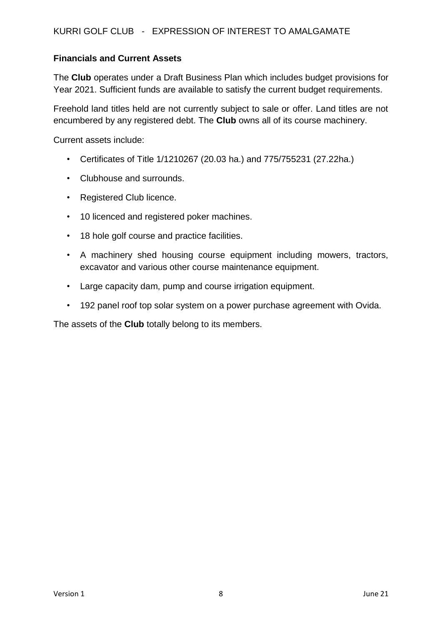#### **Financials and Current Assets**

The **Club** operates under a Draft Business Plan which includes budget provisions for Year 2021. Sufficient funds are available to satisfy the current budget requirements.

Freehold land titles held are not currently subject to sale or offer. Land titles are not encumbered by any registered debt. The **Club** owns all of its course machinery.

Current assets include:

- Certificates of Title 1/1210267 (20.03 ha.) and 775/755231 (27.22ha.)
- Clubhouse and surrounds.
- Registered Club licence.
- 10 licenced and registered poker machines.
- 18 hole golf course and practice facilities.
- A machinery shed housing course equipment including mowers, tractors, excavator and various other course maintenance equipment.
- Large capacity dam, pump and course irrigation equipment.
- 192 panel roof top solar system on a power purchase agreement with Ovida.

The assets of the **Club** totally belong to its members.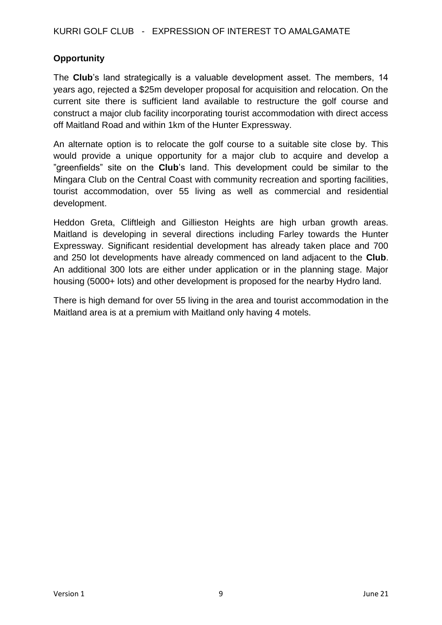### **Opportunity**

The **Club**'s land strategically is a valuable development asset. The members, 14 years ago, rejected a \$25m developer proposal for acquisition and relocation. On the current site there is sufficient land available to restructure the golf course and construct a major club facility incorporating tourist accommodation with direct access off Maitland Road and within 1km of the Hunter Expressway.

An alternate option is to relocate the golf course to a suitable site close by. This would provide a unique opportunity for a major club to acquire and develop a "greenfields" site on the **Club**'s land. This development could be similar to the Mingara Club on the Central Coast with community recreation and sporting facilities, tourist accommodation, over 55 living as well as commercial and residential development.

Heddon Greta, Cliftleigh and Gillieston Heights are high urban growth areas. Maitland is developing in several directions including Farley towards the Hunter Expressway. Significant residential development has already taken place and 700 and 250 lot developments have already commenced on land adjacent to the **Club**. An additional 300 lots are either under application or in the planning stage. Major housing (5000+ lots) and other development is proposed for the nearby Hydro land.

There is high demand for over 55 living in the area and tourist accommodation in the Maitland area is at a premium with Maitland only having 4 motels.